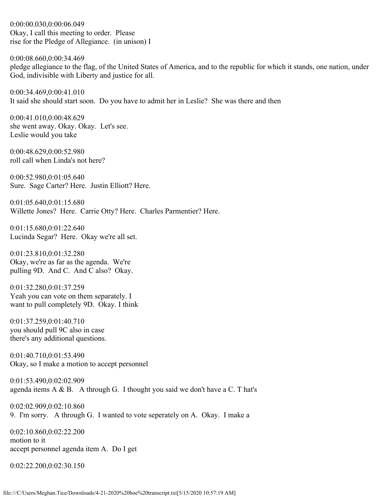0:00:00.030,0:00:06.049 Okay, I call this meeting to order. Please rise for the Pledge of Allegiance. (in unison) I

0:00:08.660,0:00:34.469 pledge allegiance to the flag, of the United States of America, and to the republic for which it stands, one nation, under God, indivisible with Liberty and justice for all.

0:00:34.469,0:00:41.010 It said she should start soon. Do you have to admit her in Leslie? She was there and then

0:00:41.010,0:00:48.629 she went away. Okay. Okay. Let's see. Leslie would you take

0:00:48.629,0:00:52.980 roll call when Linda's not here?

0:00:52.980,0:01:05.640 Sure. Sage Carter? Here. Justin Elliott? Here.

0:01:05.640,0:01:15.680 Willette Jones? Here. Carrie Otty? Here. Charles Parmentier? Here.

0:01:15.680,0:01:22.640 Lucinda Segar? Here. Okay we're all set.

0:01:23.810,0:01:32.280 Okay, we're as far as the agenda. We're pulling 9D. And C. And C also? Okay.

0:01:32.280,0:01:37.259 Yeah you can vote on them separately. I want to pull completely 9D. Okay. I think

0:01:37.259,0:01:40.710 you should pull 9C also in case there's any additional questions.

0:01:40.710,0:01:53.490 Okay, so I make a motion to accept personnel

0:01:53.490,0:02:02.909 agenda items  $A \& B$ . A through G. I thought you said we don't have a C. T hat's

0:02:02.909,0:02:10.860 9. I'm sorry. A through G. I wanted to vote seperately on A. Okay. I make a

0:02:10.860,0:02:22.200 motion to it accept personnel agenda item A. Do I get

0:02:22.200,0:02:30.150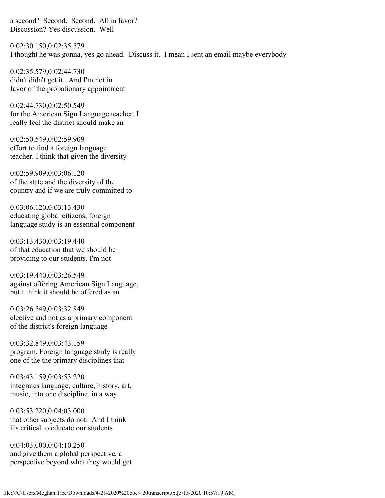a second? Second. Second. All in favor? Discussion? Yes discussion. Well

0:02:30.150,0:02:35.579 I thought he was gonna, yes go ahead. Discuss it. I mean I sent an email maybe everybody

0:02:35.579,0:02:44.730 didn't didn't get it. And I'm not in favor of the probationary appointment

0:02:44.730,0:02:50.549 for the American Sign Language teacher. I really feel the district should make an

0:02:50.549,0:02:59.909 effort to find a foreign language teacher. I think that given the diversity

0:02:59.909,0:03:06.120 of the state and the diversity of the country and if we are truly committed to

0:03:06.120,0:03:13.430 educating global citizens, foreign language study is an essential component

0:03:13.430,0:03:19.440 of that education that we should be providing to our students. I'm not

0:03:19.440,0:03:26.549 against offering American Sign Language, but I think it should be offered as an

0:03:26.549,0:03:32.849 elective and not as a primary component of the district's foreign language

0:03:32.849,0:03:43.159 program. Foreign language study is really one of the the primary disciplines that

0:03:43.159,0:03:53.220 integrates language, culture, history, art, music, into one discipline, in a way

0:03:53.220,0:04:03.000 that other subjects do not. And I think it's critical to educate our students

0:04:03.000,0:04:10.250 and give them a global perspective, a perspective beyond what they would get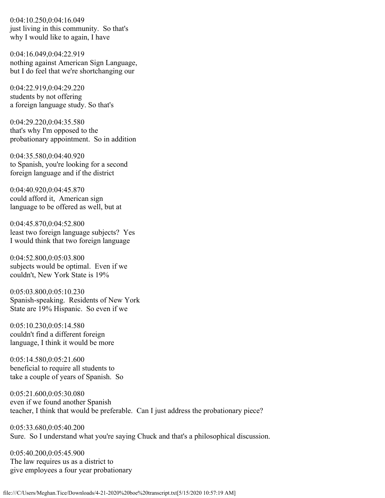0:04:10.250,0:04:16.049 just living in this community. So that's why I would like to again, I have

0:04:16.049,0:04:22.919 nothing against American Sign Language, but I do feel that we're shortchanging our

0:04:22.919,0:04:29.220 students by not offering a foreign language study. So that's

0:04:29.220,0:04:35.580 that's why I'm opposed to the probationary appointment. So in addition

0:04:35.580,0:04:40.920 to Spanish, you're looking for a second foreign language and if the district

0:04:40.920,0:04:45.870 could afford it, American sign language to be offered as well, but at

0:04:45.870,0:04:52.800 least two foreign language subjects? Yes I would think that two foreign language

0:04:52.800,0:05:03.800 subjects would be optimal. Even if we couldn't, New York State is 19%

0:05:03.800,0:05:10.230 Spanish-speaking. Residents of New York State are 19% Hispanic. So even if we

0:05:10.230,0:05:14.580 couldn't find a different foreign language, I think it would be more

0:05:14.580,0:05:21.600 beneficial to require all students to take a couple of years of Spanish. So

0:05:21.600,0:05:30.080 even if we found another Spanish teacher, I think that would be preferable. Can I just address the probationary piece?

0:05:33.680,0:05:40.200 Sure. So I understand what you're saying Chuck and that's a philosophical discussion.

0:05:40.200,0:05:45.900 The law requires us as a district to give employees a four year probationary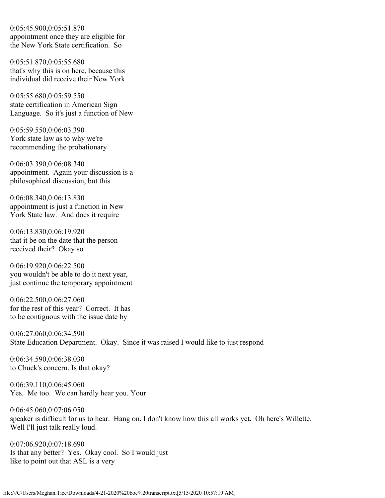0:05:45.900,0:05:51.870 appointment once they are eligible for the New York State certification. So

0:05:51.870,0:05:55.680 that's why this is on here, because this individual did receive their New York

0:05:55.680,0:05:59.550 state certification in American Sign Language. So it's just a function of New

0:05:59.550,0:06:03.390 York state law as to why we're recommending the probationary

0:06:03.390,0:06:08.340 appointment. Again your discussion is a philosophical discussion, but this

0:06:08.340,0:06:13.830 appointment is just a function in New York State law. And does it require

0:06:13.830,0:06:19.920 that it be on the date that the person received their? Okay so

0:06:19.920,0:06:22.500 you wouldn't be able to do it next year, just continue the temporary appointment

0:06:22.500,0:06:27.060 for the rest of this year? Correct. It has to be contiguous with the issue date by

0:06:27.060,0:06:34.590 State Education Department. Okay. Since it was raised I would like to just respond

0:06:34.590,0:06:38.030 to Chuck's concern. Is that okay?

0:06:39.110,0:06:45.060 Yes. Me too. We can hardly hear you. Your

0:06:45.060,0:07:06.050 speaker is difficult for us to hear. Hang on. I don't know how this all works yet. Oh here's Willette. Well I'll just talk really loud.

0:07:06.920,0:07:18.690 Is that any better? Yes. Okay cool. So I would just like to point out that ASL is a very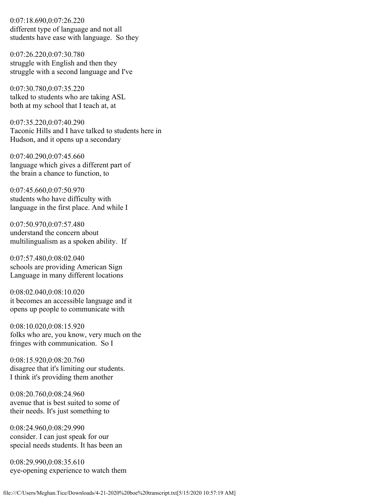0:07:18.690,0:07:26.220 different type of language and not all students have ease with language. So they

0:07:26.220,0:07:30.780 struggle with English and then they struggle with a second language and I've

0:07:30.780,0:07:35.220 talked to students who are taking ASL both at my school that I teach at, at

0:07:35.220,0:07:40.290 Taconic Hills and I have talked to students here in Hudson, and it opens up a secondary

0:07:40.290,0:07:45.660 language which gives a different part of the brain a chance to function, to

0:07:45.660,0:07:50.970 students who have difficulty with language in the first place. And while I

0:07:50.970,0:07:57.480 understand the concern about multilingualism as a spoken ability. If

0:07:57.480,0:08:02.040 schools are providing American Sign Language in many different locations

0:08:02.040,0:08:10.020 it becomes an accessible language and it opens up people to communicate with

0:08:10.020,0:08:15.920 folks who are, you know, very much on the fringes with communication. So I

0:08:15.920,0:08:20.760 disagree that it's limiting our students. I think it's providing them another

0:08:20.760,0:08:24.960 avenue that is best suited to some of their needs. It's just something to

0:08:24.960,0:08:29.990 consider. I can just speak for our special needs students. It has been an

0:08:29.990,0:08:35.610 eye-opening experience to watch them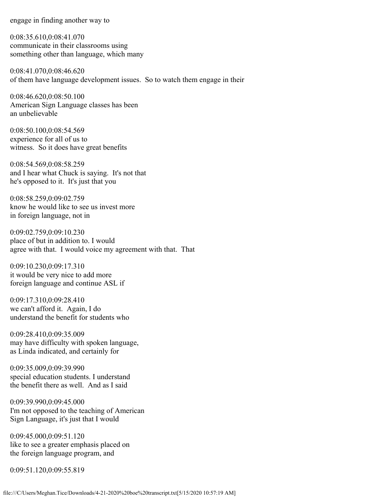engage in finding another way to

0:08:35.610,0:08:41.070 communicate in their classrooms using something other than language, which many

0:08:41.070,0:08:46.620 of them have language development issues. So to watch them engage in their

0:08:46.620,0:08:50.100 American Sign Language classes has been an unbelievable

0:08:50.100,0:08:54.569 experience for all of us to witness. So it does have great benefits

0:08:54.569,0:08:58.259 and I hear what Chuck is saying. It's not that he's opposed to it. It's just that you

0:08:58.259,0:09:02.759 know he would like to see us invest more in foreign language, not in

0:09:02.759,0:09:10.230 place of but in addition to. I would agree with that. I would voice my agreement with that. That

0:09:10.230,0:09:17.310 it would be very nice to add more foreign language and continue ASL if

0:09:17.310,0:09:28.410 we can't afford it. Again, I do understand the benefit for students who

0:09:28.410,0:09:35.009 may have difficulty with spoken language, as Linda indicated, and certainly for

0:09:35.009,0:09:39.990 special education students. I understand the benefit there as well. And as I said

0:09:39.990,0:09:45.000 I'm not opposed to the teaching of American Sign Language, it's just that I would

0:09:45.000,0:09:51.120 like to see a greater emphasis placed on the foreign language program, and

0:09:51.120,0:09:55.819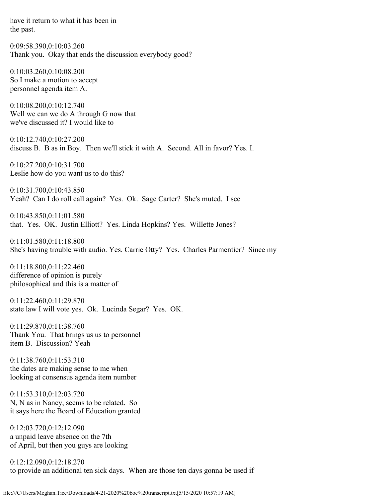have it return to what it has been in the past.

0:09:58.390,0:10:03.260 Thank you. Okay that ends the discussion everybody good?

0:10:03.260,0:10:08.200 So I make a motion to accept personnel agenda item A.

0:10:08.200,0:10:12.740 Well we can we do A through G now that we've discussed it? I would like to

0:10:12.740,0:10:27.200 discuss B. B as in Boy. Then we'll stick it with A. Second. All in favor? Yes. I.

0:10:27.200,0:10:31.700 Leslie how do you want us to do this?

0:10:31.700,0:10:43.850 Yeah? Can I do roll call again? Yes. Ok. Sage Carter? She's muted. I see

0:10:43.850,0:11:01.580 that. Yes. OK. Justin Elliott? Yes. Linda Hopkins? Yes. Willette Jones?

0:11:01.580,0:11:18.800 She's having trouble with audio. Yes. Carrie Otty? Yes. Charles Parmentier? Since my

0:11:18.800,0:11:22.460 difference of opinion is purely philosophical and this is a matter of

0:11:22.460,0:11:29.870 state law I will vote yes. Ok. Lucinda Segar? Yes. OK.

0:11:29.870,0:11:38.760 Thank You. That brings us us to personnel item B. Discussion? Yeah

0:11:38.760,0:11:53.310 the dates are making sense to me when looking at consensus agenda item number

0:11:53.310,0:12:03.720 N, N as in Nancy, seems to be related. So it says here the Board of Education granted

0:12:03.720,0:12:12.090 a unpaid leave absence on the 7th of April, but then you guys are looking

0:12:12.090,0:12:18.270 to provide an additional ten sick days. When are those ten days gonna be used if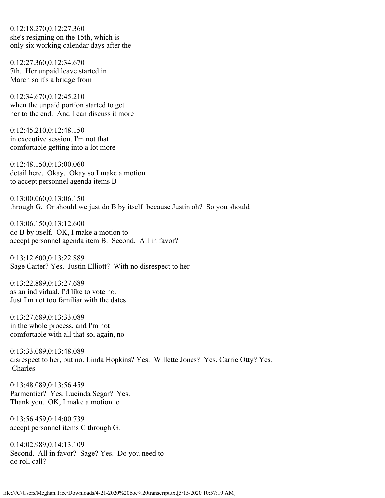0:12:18.270,0:12:27.360 she's resigning on the 15th, which is only six working calendar days after the

0:12:27.360,0:12:34.670 7th. Her unpaid leave started in March so it's a bridge from

0:12:34.670,0:12:45.210 when the unpaid portion started to get her to the end. And I can discuss it more

0:12:45.210,0:12:48.150 in executive session. I'm not that comfortable getting into a lot more

0:12:48.150,0:13:00.060 detail here. Okay. Okay so I make a motion to accept personnel agenda items B

0:13:00.060,0:13:06.150 through G. Or should we just do B by itself because Justin oh? So you should

0:13:06.150,0:13:12.600 do B by itself. OK, I make a motion to accept personnel agenda item B. Second. All in favor?

0:13:12.600,0:13:22.889 Sage Carter? Yes. Justin Elliott? With no disrespect to her

0:13:22.889,0:13:27.689 as an individual, I'd like to vote no. Just I'm not too familiar with the dates

0:13:27.689,0:13:33.089 in the whole process, and I'm not comfortable with all that so, again, no

0:13:33.089,0:13:48.089 disrespect to her, but no. Linda Hopkins? Yes. Willette Jones? Yes. Carrie Otty? Yes. Charles

0:13:48.089,0:13:56.459 Parmentier? Yes. Lucinda Segar? Yes. Thank you. OK, I make a motion to

0:13:56.459,0:14:00.739 accept personnel items C through G.

0:14:02.989,0:14:13.109 Second. All in favor? Sage? Yes. Do you need to do roll call?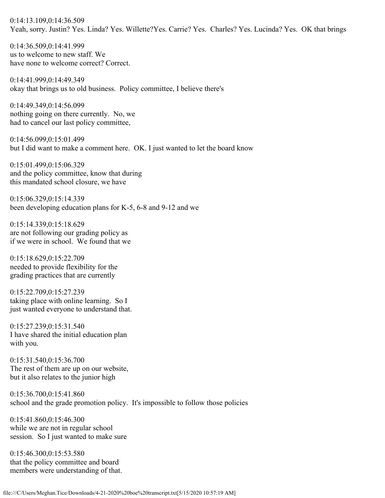0:14:13.109,0:14:36.509 Yeah, sorry. Justin? Yes. Linda? Yes. Willette?Yes. Carrie? Yes. Charles? Yes. Lucinda? Yes. OK that brings

0:14:36.509,0:14:41.999 us to welcome to new staff. We have none to welcome correct? Correct.

0:14:41.999,0:14:49.349 okay that brings us to old business. Policy committee, I believe there's

0:14:49.349,0:14:56.099 nothing going on there currently. No, we had to cancel our last policy committee,

0:14:56.099,0:15:01.499 but I did want to make a comment here. OK. I just wanted to let the board know

0:15:01.499,0:15:06.329 and the policy committee, know that during this mandated school closure, we have

0:15:06.329,0:15:14.339 been developing education plans for K-5, 6-8 and 9-12 and we

0:15:14.339,0:15:18.629 are not following our grading policy as if we were in school. We found that we

0:15:18.629,0:15:22.709 needed to provide flexibility for the grading practices that are currently

0:15:22.709,0:15:27.239 taking place with online learning. So I just wanted everyone to understand that.

0:15:27.239,0:15:31.540 I have shared the initial education plan with you.

0:15:31.540,0:15:36.700 The rest of them are up on our website, but it also relates to the junior high

0:15:36.700,0:15:41.860 school and the grade promotion policy. It's impossible to follow those policies

0:15:41.860,0:15:46.300 while we are not in regular school session. So I just wanted to make sure

0:15:46.300,0:15:53.580 that the policy committee and board members were understanding of that.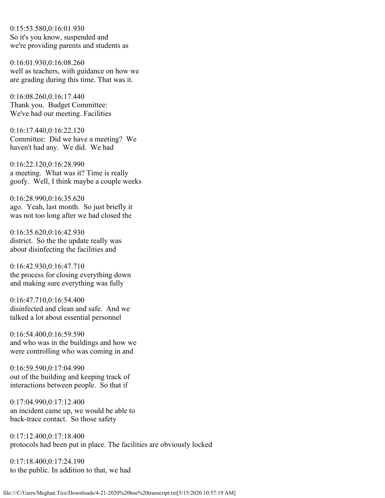0:15:53.580,0:16:01.930 So it's you know, suspended and we're providing parents and students as

0:16:01.930,0:16:08.260 well as teachers, with guidance on how we are grading during this time. That was it.

0:16:08.260,0:16:17.440 Thank you. Budget Committee: We've had our meeting. Facilities

0:16:17.440,0:16:22.120 Committee: Did we have a meeting? We haven't had any. We did. We had

0:16:22.120,0:16:28.990 a meeting. What was it? Time is really goofy. Well, I think maybe a couple weeks

0:16:28.990,0:16:35.620 ago. Yeah, last month. So just briefly it was not too long after we had closed the

0:16:35.620,0:16:42.930 district. So the the update really was about disinfecting the facilities and

0:16:42.930,0:16:47.710 the process for closing everything down and making sure everything was fully

0:16:47.710,0:16:54.400 disinfected and clean and safe. And we talked a lot about essential personnel

0:16:54.400,0:16:59.590 and who was in the buildings and how we were controlling who was coming in and

0:16:59.590,0:17:04.990 out of the building and keeping track of interactions between people. So that if

0:17:04.990,0:17:12.400 an incident came up, we would be able to back-trace contact. So those safety

0:17:12.400,0:17:18.400 protocols had been put in place. The facilities are obviously locked

0:17:18.400,0:17:24.190 to the public. In addition to that, we had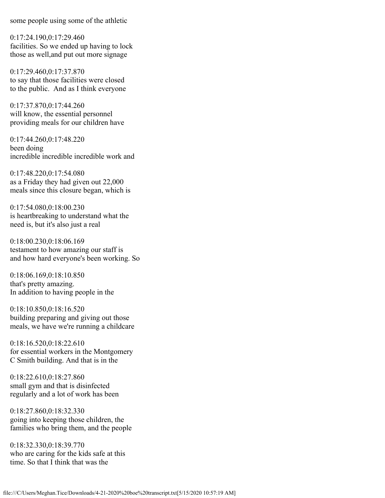some people using some of the athletic

0:17:24.190,0:17:29.460 facilities. So we ended up having to lock those as well,and put out more signage

0:17:29.460,0:17:37.870 to say that those facilities were closed to the public. And as I think everyone

0:17:37.870,0:17:44.260 will know, the essential personnel providing meals for our children have

0:17:44.260,0:17:48.220 been doing incredible incredible incredible work and

0:17:48.220,0:17:54.080 as a Friday they had given out 22,000 meals since this closure began, which is

0:17:54.080,0:18:00.230 is heartbreaking to understand what the need is, but it's also just a real

0:18:00.230,0:18:06.169 testament to how amazing our staff is and how hard everyone's been working. So

0:18:06.169,0:18:10.850 that's pretty amazing. In addition to having people in the

0:18:10.850,0:18:16.520 building preparing and giving out those meals, we have we're running a childcare

0:18:16.520,0:18:22.610 for essential workers in the Montgomery C Smith building. And that is in the

0:18:22.610,0:18:27.860 small gym and that is disinfected regularly and a lot of work has been

0:18:27.860,0:18:32.330 going into keeping those children, the families who bring them, and the people

0:18:32.330,0:18:39.770 who are caring for the kids safe at this time. So that I think that was the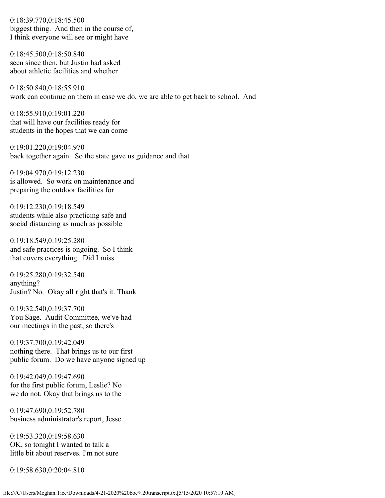0:18:39.770,0:18:45.500 biggest thing. And then in the course of, I think everyone will see or might have

0:18:45.500,0:18:50.840 seen since then, but Justin had asked about athletic facilities and whether

0:18:50.840,0:18:55.910 work can continue on them in case we do, we are able to get back to school. And

0:18:55.910,0:19:01.220 that will have our facilities ready for students in the hopes that we can come

0:19:01.220,0:19:04.970 back together again. So the state gave us guidance and that

0:19:04.970,0:19:12.230 is allowed. So work on maintenance and preparing the outdoor facilities for

0:19:12.230,0:19:18.549 students while also practicing safe and social distancing as much as possible

0:19:18.549,0:19:25.280 and safe practices is ongoing. So I think that covers everything. Did I miss

0:19:25.280,0:19:32.540 anything? Justin? No. Okay all right that's it. Thank

0:19:32.540,0:19:37.700 You Sage. Audit Committee, we've had our meetings in the past, so there's

0:19:37.700,0:19:42.049 nothing there. That brings us to our first public forum. Do we have anyone signed up

0:19:42.049,0:19:47.690 for the first public forum, Leslie? No we do not. Okay that brings us to the

0:19:47.690,0:19:52.780 business administrator's report, Jesse.

0:19:53.320,0:19:58.630 OK, so tonight I wanted to talk a little bit about reserves. I'm not sure

0:19:58.630,0:20:04.810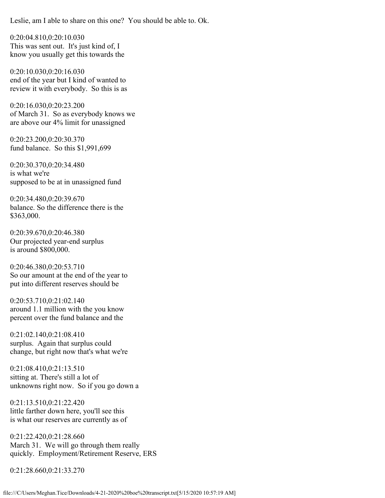Leslie, am I able to share on this one? You should be able to. Ok.

0:20:04.810,0:20:10.030 This was sent out. It's just kind of, I know you usually get this towards the

0:20:10.030,0:20:16.030 end of the year but I kind of wanted to review it with everybody. So this is as

0:20:16.030,0:20:23.200 of March 31. So as everybody knows we are above our 4% limit for unassigned

0:20:23.200,0:20:30.370 fund balance. So this \$1,991,699

0:20:30.370,0:20:34.480 is what we're supposed to be at in unassigned fund

0:20:34.480,0:20:39.670 balance. So the difference there is the \$363,000.

0:20:39.670,0:20:46.380 Our projected year-end surplus is around \$800,000.

0:20:46.380,0:20:53.710 So our amount at the end of the year to put into different reserves should be

0:20:53.710,0:21:02.140 around 1.1 million with the you know percent over the fund balance and the

0:21:02.140,0:21:08.410 surplus. Again that surplus could change, but right now that's what we're

0:21:08.410,0:21:13.510 sitting at. There's still a lot of unknowns right now. So if you go down a

0:21:13.510,0:21:22.420 little farther down here, you'll see this is what our reserves are currently as of

0:21:22.420,0:21:28.660 March 31. We will go through them really quickly. Employment/Retirement Reserve, ERS

0:21:28.660,0:21:33.270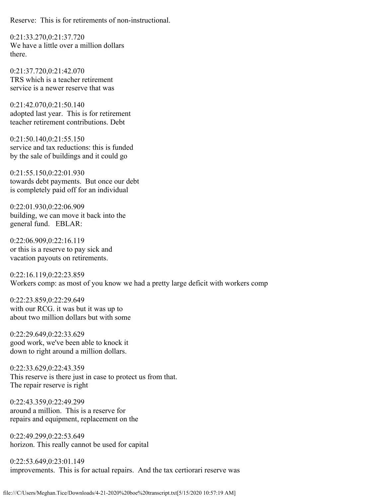Reserve: This is for retirements of non-instructional.

0:21:33.270,0:21:37.720 We have a little over a million dollars there.

0:21:37.720,0:21:42.070 TRS which is a teacher retirement service is a newer reserve that was

0:21:42.070,0:21:50.140 adopted last year. This is for retirement teacher retirement contributions. Debt

0:21:50.140,0:21:55.150 service and tax reductions: this is funded by the sale of buildings and it could go

0:21:55.150,0:22:01.930 towards debt payments. But once our debt is completely paid off for an individual

0:22:01.930,0:22:06.909 building, we can move it back into the general fund. EBLAR:

0:22:06.909,0:22:16.119 or this is a reserve to pay sick and vacation payouts on retirements.

0:22:16.119,0:22:23.859 Workers comp: as most of you know we had a pretty large deficit with workers comp

0:22:23.859,0:22:29.649 with our RCG. it was but it was up to about two million dollars but with some

0:22:29.649,0:22:33.629 good work, we've been able to knock it down to right around a million dollars.

0:22:33.629,0:22:43.359 This reserve is there just in case to protect us from that. The repair reserve is right

0:22:43.359,0:22:49.299 around a million. This is a reserve for repairs and equipment, replacement on the

0:22:49.299,0:22:53.649 horizon. This really cannot be used for capital

0:22:53.649,0:23:01.149 improvements. This is for actual repairs. And the tax certiorari reserve was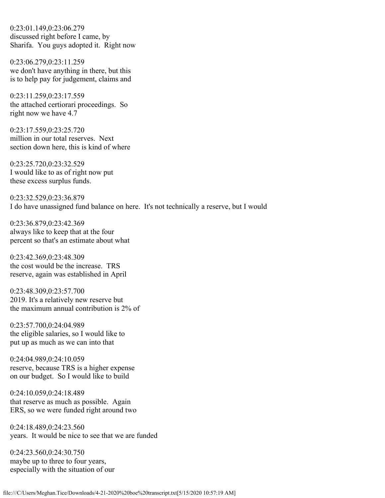0:23:01.149,0:23:06.279 discussed right before I came, by Sharifa. You guys adopted it. Right now

0:23:06.279,0:23:11.259 we don't have anything in there, but this is to help pay for judgement, claims and

0:23:11.259,0:23:17.559 the attached certiorari proceedings. So right now we have 4.7

0:23:17.559,0:23:25.720 million in our total reserves. Next section down here, this is kind of where

0:23:25.720,0:23:32.529 I would like to as of right now put these excess surplus funds.

0:23:32.529,0:23:36.879 I do have unassigned fund balance on here. It's not technically a reserve, but I would

0:23:36.879,0:23:42.369 always like to keep that at the four percent so that's an estimate about what

0:23:42.369,0:23:48.309 the cost would be the increase. TRS reserve, again was established in April

0:23:48.309,0:23:57.700 2019. It's a relatively new reserve but the maximum annual contribution is 2% of

0:23:57.700,0:24:04.989 the eligible salaries, so I would like to put up as much as we can into that

0:24:04.989,0:24:10.059 reserve, because TRS is a higher expense on our budget. So I would like to build

0:24:10.059,0:24:18.489 that reserve as much as possible. Again ERS, so we were funded right around two

0:24:18.489,0:24:23.560 years. It would be nice to see that we are funded

0:24:23.560,0:24:30.750 maybe up to three to four years, especially with the situation of our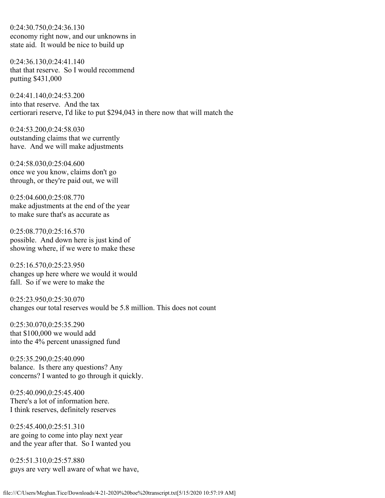0:24:30.750,0:24:36.130 economy right now, and our unknowns in state aid. It would be nice to build up

0:24:36.130,0:24:41.140 that that reserve. So I would recommend putting \$431,000

0:24:41.140,0:24:53.200 into that reserve. And the tax certiorari reserve, I'd like to put \$294,043 in there now that will match the

0:24:53.200,0:24:58.030 outstanding claims that we currently have. And we will make adjustments

0:24:58.030,0:25:04.600 once we you know, claims don't go through, or they're paid out, we will

0:25:04.600,0:25:08.770 make adjustments at the end of the year to make sure that's as accurate as

0:25:08.770,0:25:16.570 possible. And down here is just kind of showing where, if we were to make these

0:25:16.570,0:25:23.950 changes up here where we would it would fall. So if we were to make the

0:25:23.950,0:25:30.070 changes our total reserves would be 5.8 million. This does not count

0:25:30.070,0:25:35.290 that \$100,000 we would add into the 4% percent unassigned fund

0:25:35.290,0:25:40.090 balance. Is there any questions? Any concerns? I wanted to go through it quickly.

0:25:40.090,0:25:45.400 There's a lot of information here. I think reserves, definitely reserves

0:25:45.400,0:25:51.310 are going to come into play next year and the year after that. So I wanted you

0:25:51.310,0:25:57.880 guys are very well aware of what we have,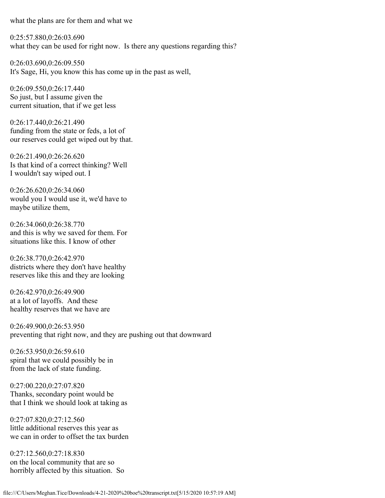what the plans are for them and what we

0:25:57.880,0:26:03.690 what they can be used for right now. Is there any questions regarding this?

0:26:03.690,0:26:09.550 It's Sage, Hi, you know this has come up in the past as well,

0:26:09.550,0:26:17.440 So just, but I assume given the current situation, that if we get less

0:26:17.440,0:26:21.490 funding from the state or feds, a lot of our reserves could get wiped out by that.

0:26:21.490,0:26:26.620 Is that kind of a correct thinking? Well I wouldn't say wiped out. I

0:26:26.620,0:26:34.060 would you I would use it, we'd have to maybe utilize them,

0:26:34.060,0:26:38.770 and this is why we saved for them. For situations like this. I know of other

0:26:38.770,0:26:42.970 districts where they don't have healthy reserves like this and they are looking

0:26:42.970,0:26:49.900 at a lot of layoffs. And these healthy reserves that we have are

0:26:49.900,0:26:53.950 preventing that right now, and they are pushing out that downward

0:26:53.950,0:26:59.610 spiral that we could possibly be in from the lack of state funding.

0:27:00.220,0:27:07.820 Thanks, secondary point would be that I think we should look at taking as

0:27:07.820,0:27:12.560 little additional reserves this year as we can in order to offset the tax burden

0:27:12.560,0:27:18.830 on the local community that are so horribly affected by this situation. So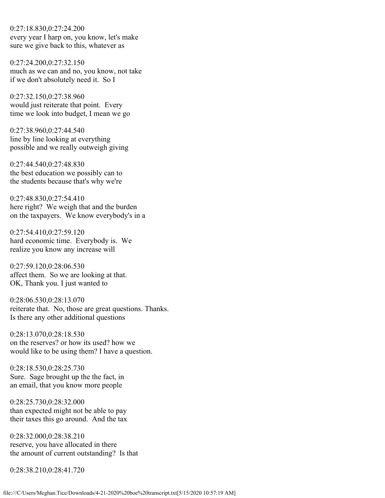0:27:18.830,0:27:24.200 every year I harp on, you know, let's make sure we give back to this, whatever as

0:27:24.200,0:27:32.150 much as we can and no, you know, not take if we don't absolutely need it. So I

0:27:32.150,0:27:38.960 would just reiterate that point. Every time we look into budget, I mean we go

0:27:38.960,0:27:44.540 line by line looking at everything possible and we really outweigh giving

0:27:44.540,0:27:48.830 the best education we possibly can to the students because that's why we're

0:27:48.830,0:27:54.410 here right? We weigh that and the burden on the taxpayers. We know everybody's in a

0:27:54.410,0:27:59.120 hard economic time. Everybody is. We realize you know any increase will

0:27:59.120,0:28:06.530 affect them. So we are looking at that. OK, Thank you. I just wanted to

0:28:06.530,0:28:13.070 reiterate that. No, those are great questions. Thanks. Is there any other additional questions

0:28:13.070,0:28:18.530 on the reserves? or how its used? how we would like to be using them? I have a question.

0:28:18.530,0:28:25.730 Sure. Sage brought up the the fact, in an email, that you know more people

0:28:25.730,0:28:32.000 than expected might not be able to pay their taxes this go around. And the tax

0:28:32.000,0:28:38.210 reserve, you have allocated in there the amount of current outstanding? Is that

0:28:38.210,0:28:41.720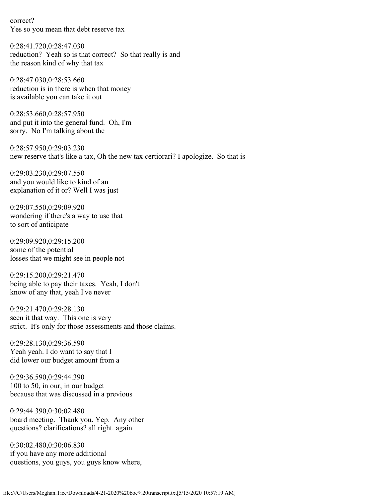correct? Yes so you mean that debt reserve tax

0:28:41.720,0:28:47.030 reduction? Yeah so is that correct? So that really is and the reason kind of why that tax

0:28:47.030,0:28:53.660 reduction is in there is when that money is available you can take it out

0:28:53.660,0:28:57.950 and put it into the general fund. Oh, I'm sorry. No I'm talking about the

0:28:57.950,0:29:03.230 new reserve that's like a tax, Oh the new tax certiorari? I apologize. So that is

0:29:03.230,0:29:07.550 and you would like to kind of an explanation of it or? Well I was just

0:29:07.550,0:29:09.920 wondering if there's a way to use that to sort of anticipate

0:29:09.920,0:29:15.200 some of the potential losses that we might see in people not

0:29:15.200,0:29:21.470 being able to pay their taxes. Yeah, I don't know of any that, yeah I've never

0:29:21.470,0:29:28.130 seen it that way. This one is very strict. It's only for those assessments and those claims.

0:29:28.130,0:29:36.590 Yeah yeah. I do want to say that I did lower our budget amount from a

0:29:36.590,0:29:44.390 100 to 50, in our, in our budget because that was discussed in a previous

0:29:44.390,0:30:02.480 board meeting. Thank you. Yep. Any other questions? clarifications? all right. again

0:30:02.480,0:30:06.830 if you have any more additional questions, you guys, you guys know where,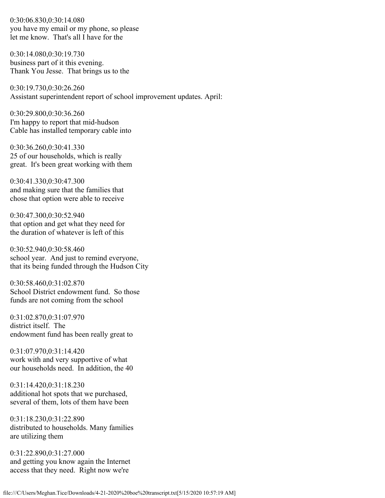0:30:06.830,0:30:14.080 you have my email or my phone, so please let me know. That's all I have for the

0:30:14.080,0:30:19.730 business part of it this evening. Thank You Jesse. That brings us to the

0:30:19.730,0:30:26.260 Assistant superintendent report of school improvement updates. April:

0:30:29.800,0:30:36.260 I'm happy to report that mid-hudson Cable has installed temporary cable into

0:30:36.260,0:30:41.330 25 of our households, which is really great. It's been great working with them

0:30:41.330,0:30:47.300 and making sure that the families that chose that option were able to receive

0:30:47.300,0:30:52.940 that option and get what they need for the duration of whatever is left of this

0:30:52.940,0:30:58.460 school year. And just to remind everyone, that its being funded through the Hudson City

0:30:58.460,0:31:02.870 School District endowment fund. So those funds are not coming from the school

0:31:02.870,0:31:07.970 district itself. The endowment fund has been really great to

0:31:07.970,0:31:14.420 work with and very supportive of what our households need. In addition, the 40

0:31:14.420,0:31:18.230 additional hot spots that we purchased, several of them, lots of them have been

0:31:18.230,0:31:22.890 distributed to households. Many families are utilizing them

0:31:22.890,0:31:27.000 and getting you know again the Internet access that they need. Right now we're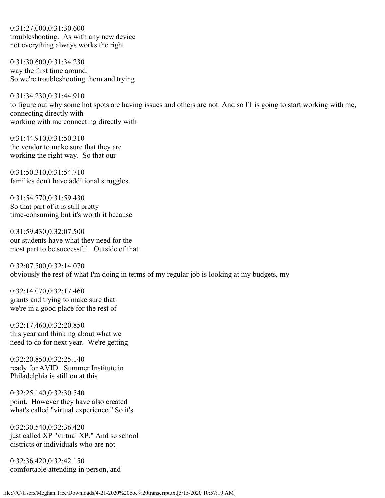0:31:27.000,0:31:30.600 troubleshooting. As with any new device not everything always works the right

0:31:30.600,0:31:34.230 way the first time around. So we're troubleshooting them and trying

0:31:34.230,0:31:44.910 to figure out why some hot spots are having issues and others are not. And so IT is going to start working with me, connecting directly with working with me connecting directly with

0:31:44.910,0:31:50.310 the vendor to make sure that they are working the right way. So that our

0:31:50.310,0:31:54.710 families don't have additional struggles.

0:31:54.770,0:31:59.430 So that part of it is still pretty time-consuming but it's worth it because

0:31:59.430,0:32:07.500 our students have what they need for the most part to be successful. Outside of that

0:32:07.500,0:32:14.070 obviously the rest of what I'm doing in terms of my regular job is looking at my budgets, my

0:32:14.070,0:32:17.460 grants and trying to make sure that we're in a good place for the rest of

0:32:17.460,0:32:20.850 this year and thinking about what we need to do for next year. We're getting

0:32:20.850,0:32:25.140 ready for AVID. Summer Institute in Philadelphia is still on at this

0:32:25.140,0:32:30.540 point. However they have also created what's called "virtual experience." So it's

0:32:30.540,0:32:36.420 just called XP "virtual XP." And so school districts or individuals who are not

0:32:36.420,0:32:42.150 comfortable attending in person, and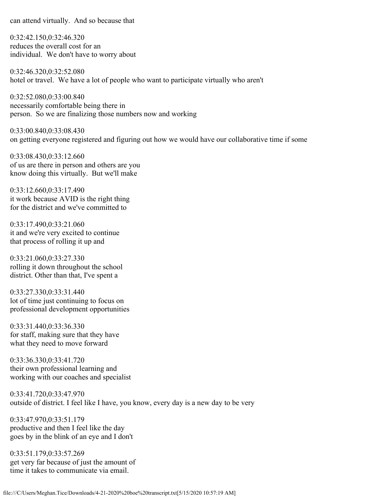can attend virtually. And so because that

0:32:42.150,0:32:46.320 reduces the overall cost for an individual. We don't have to worry about

0:32:46.320,0:32:52.080 hotel or travel. We have a lot of people who want to participate virtually who aren't

0:32:52.080,0:33:00.840 necessarily comfortable being there in person. So we are finalizing those numbers now and working

0:33:00.840,0:33:08.430 on getting everyone registered and figuring out how we would have our collaborative time if some

0:33:08.430,0:33:12.660 of us are there in person and others are you know doing this virtually. But we'll make

0:33:12.660,0:33:17.490 it work because AVID is the right thing for the district and we've committed to

0:33:17.490,0:33:21.060 it and we're very excited to continue that process of rolling it up and

0:33:21.060,0:33:27.330 rolling it down throughout the school district. Other than that, I've spent a

0:33:27.330,0:33:31.440 lot of time just continuing to focus on professional development opportunities

0:33:31.440,0:33:36.330 for staff, making sure that they have what they need to move forward

0:33:36.330,0:33:41.720 their own professional learning and working with our coaches and specialist

0:33:41.720,0:33:47.970 outside of district. I feel like I have, you know, every day is a new day to be very

0:33:47.970,0:33:51.179 productive and then I feel like the day goes by in the blink of an eye and I don't

0:33:51.179,0:33:57.269 get very far because of just the amount of time it takes to communicate via email.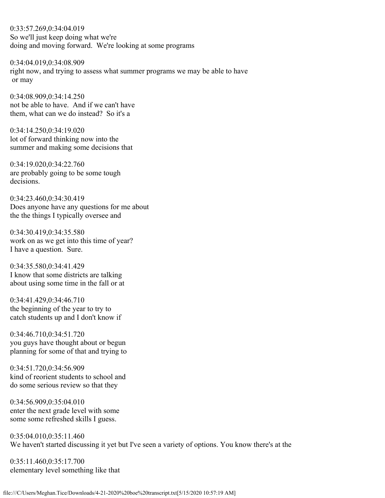0:33:57.269,0:34:04.019 So we'll just keep doing what we're doing and moving forward. We're looking at some programs

0:34:04.019,0:34:08.909 right now, and trying to assess what summer programs we may be able to have or may

0:34:08.909,0:34:14.250 not be able to have. And if we can't have them, what can we do instead? So it's a

0:34:14.250,0:34:19.020 lot of forward thinking now into the summer and making some decisions that

0:34:19.020,0:34:22.760 are probably going to be some tough decisions.

0:34:23.460,0:34:30.419 Does anyone have any questions for me about the the things I typically oversee and

0:34:30.419,0:34:35.580 work on as we get into this time of year? I have a question. Sure.

0:34:35.580,0:34:41.429 I know that some districts are talking about using some time in the fall or at

0:34:41.429,0:34:46.710 the beginning of the year to try to catch students up and I don't know if

0:34:46.710,0:34:51.720 you guys have thought about or begun planning for some of that and trying to

0:34:51.720,0:34:56.909 kind of reorient students to school and do some serious review so that they

0:34:56.909,0:35:04.010 enter the next grade level with some some some refreshed skills I guess.

0:35:04.010,0:35:11.460 We haven't started discussing it yet but I've seen a variety of options. You know there's at the

0:35:11.460,0:35:17.700 elementary level something like that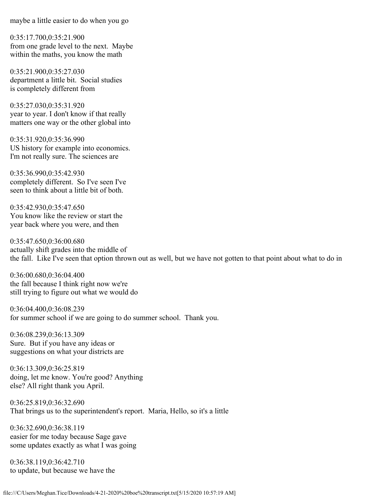maybe a little easier to do when you go

0:35:17.700,0:35:21.900 from one grade level to the next. Maybe within the maths, you know the math

0:35:21.900,0:35:27.030 department a little bit. Social studies is completely different from

0:35:27.030,0:35:31.920 year to year. I don't know if that really matters one way or the other global into

0:35:31.920,0:35:36.990 US history for example into economics. I'm not really sure. The sciences are

0:35:36.990,0:35:42.930 completely different. So I've seen I've seen to think about a little bit of both.

0:35:42.930,0:35:47.650 You know like the review or start the year back where you were, and then

0:35:47.650,0:36:00.680 actually shift grades into the middle of the fall. Like I've seen that option thrown out as well, but we have not gotten to that point about what to do in

0:36:00.680,0:36:04.400 the fall because I think right now we're still trying to figure out what we would do

0:36:04.400,0:36:08.239 for summer school if we are going to do summer school. Thank you.

0:36:08.239,0:36:13.309 Sure. But if you have any ideas or suggestions on what your districts are

0:36:13.309,0:36:25.819 doing, let me know. You're good? Anything else? All right thank you April.

0:36:25.819,0:36:32.690 That brings us to the superintendent's report. Maria, Hello, so it's a little

0:36:32.690,0:36:38.119 easier for me today because Sage gave some updates exactly as what I was going

0:36:38.119,0:36:42.710 to update, but because we have the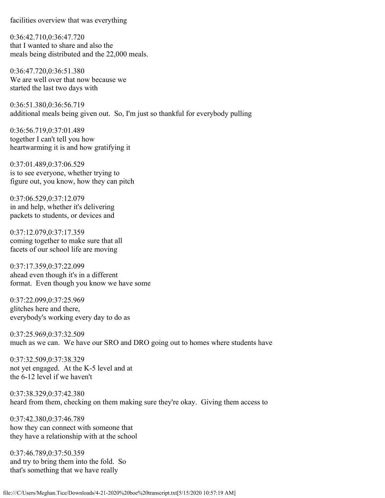facilities overview that was everything

0:36:42.710,0:36:47.720 that I wanted to share and also the meals being distributed and the 22,000 meals.

0:36:47.720,0:36:51.380 We are well over that now because we started the last two days with

0:36:51.380,0:36:56.719 additional meals being given out. So, I'm just so thankful for everybody pulling

0:36:56.719,0:37:01.489 together I can't tell you how heartwarming it is and how gratifying it

0:37:01.489,0:37:06.529 is to see everyone, whether trying to figure out, you know, how they can pitch

0:37:06.529,0:37:12.079 in and help, whether it's delivering packets to students, or devices and

0:37:12.079,0:37:17.359 coming together to make sure that all facets of our school life are moving

0:37:17.359,0:37:22.099 ahead even though it's in a different format. Even though you know we have some

0:37:22.099,0:37:25.969 glitches here and there, everybody's working every day to do as

0:37:25.969,0:37:32.509 much as we can. We have our SRO and DRO going out to homes where students have

0:37:32.509,0:37:38.329 not yet engaged. At the K-5 level and at the 6-12 level if we haven't

0:37:38.329,0:37:42.380 heard from them, checking on them making sure they're okay. Giving them access to

0:37:42.380,0:37:46.789 how they can connect with someone that they have a relationship with at the school

0:37:46.789,0:37:50.359 and try to bring them into the fold. So that's something that we have really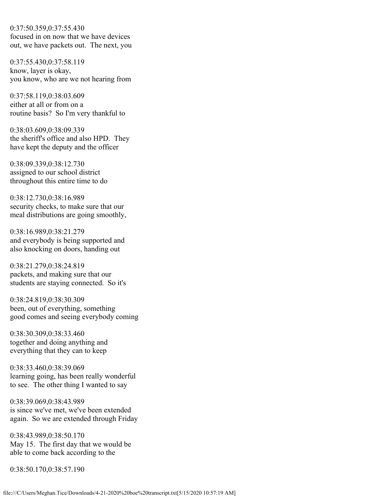0:37:50.359,0:37:55.430 focused in on now that we have devices out, we have packets out. The next, you

0:37:55.430,0:37:58.119 know, layer is okay, you know, who are we not hearing from

0:37:58.119,0:38:03.609 either at all or from on a routine basis? So I'm very thankful to

0:38:03.609,0:38:09.339 the sheriff's office and also HPD. They have kept the deputy and the officer

0:38:09.339,0:38:12.730 assigned to our school district throughout this entire time to do

0:38:12.730,0:38:16.989 security checks, to make sure that our meal distributions are going smoothly,

0:38:16.989,0:38:21.279 and everybody is being supported and also knocking on doors, handing out

0:38:21.279,0:38:24.819 packets, and making sure that our students are staying connected. So it's

0:38:24.819,0:38:30.309 been, out of everything, something good comes and seeing everybody coming

0:38:30.309,0:38:33.460 together and doing anything and everything that they can to keep

0:38:33.460,0:38:39.069 learning going, has been really wonderful to see. The other thing I wanted to say

0:38:39.069,0:38:43.989 is since we've met, we've been extended again. So we are extended through Friday

0:38:43.989,0:38:50.170 May 15. The first day that we would be able to come back according to the

0:38:50.170,0:38:57.190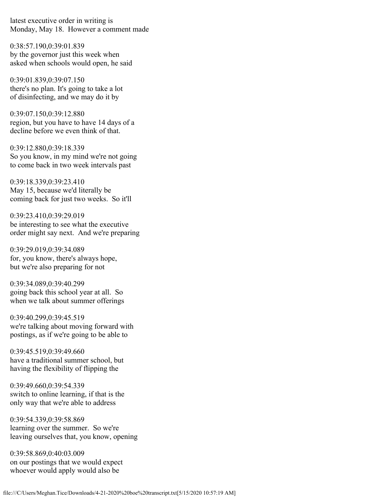latest executive order in writing is Monday, May 18. However a comment made

0:38:57.190,0:39:01.839 by the governor just this week when asked when schools would open, he said

0:39:01.839,0:39:07.150 there's no plan. It's going to take a lot of disinfecting, and we may do it by

0:39:07.150,0:39:12.880 region, but you have to have 14 days of a decline before we even think of that.

0:39:12.880,0:39:18.339 So you know, in my mind we're not going to come back in two week intervals past

0:39:18.339,0:39:23.410 May 15, because we'd literally be coming back for just two weeks. So it'll

0:39:23.410,0:39:29.019 be interesting to see what the executive order might say next. And we're preparing

0:39:29.019,0:39:34.089 for, you know, there's always hope, but we're also preparing for not

0:39:34.089,0:39:40.299 going back this school year at all. So when we talk about summer offerings

0:39:40.299,0:39:45.519 we're talking about moving forward with postings, as if we're going to be able to

0:39:45.519,0:39:49.660 have a traditional summer school, but having the flexibility of flipping the

0:39:49.660,0:39:54.339 switch to online learning, if that is the only way that we're able to address

0:39:54.339,0:39:58.869 learning over the summer. So we're leaving ourselves that, you know, opening

0:39:58.869,0:40:03.009 on our postings that we would expect whoever would apply would also be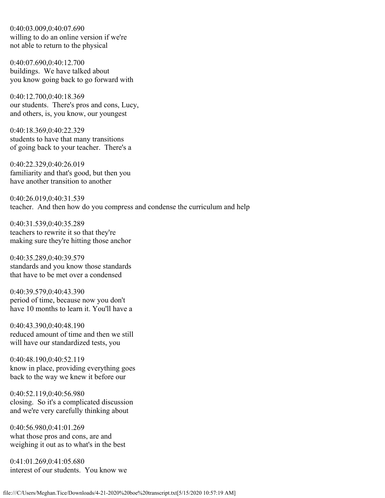0:40:03.009,0:40:07.690 willing to do an online version if we're not able to return to the physical

0:40:07.690,0:40:12.700 buildings. We have talked about you know going back to go forward with

0:40:12.700,0:40:18.369 our students. There's pros and cons, Lucy, and others, is, you know, our youngest

0:40:18.369,0:40:22.329 students to have that many transitions of going back to your teacher. There's a

0:40:22.329,0:40:26.019 familiarity and that's good, but then you have another transition to another

0:40:26.019,0:40:31.539 teacher. And then how do you compress and condense the curriculum and help

0:40:31.539,0:40:35.289 teachers to rewrite it so that they're making sure they're hitting those anchor

0:40:35.289,0:40:39.579 standards and you know those standards that have to be met over a condensed

0:40:39.579,0:40:43.390 period of time, because now you don't have 10 months to learn it. You'll have a

0:40:43.390,0:40:48.190 reduced amount of time and then we still will have our standardized tests, you

0:40:48.190,0:40:52.119 know in place, providing everything goes back to the way we knew it before our

0:40:52.119,0:40:56.980 closing. So it's a complicated discussion and we're very carefully thinking about

0:40:56.980,0:41:01.269 what those pros and cons, are and weighing it out as to what's in the best

0:41:01.269,0:41:05.680 interest of our students. You know we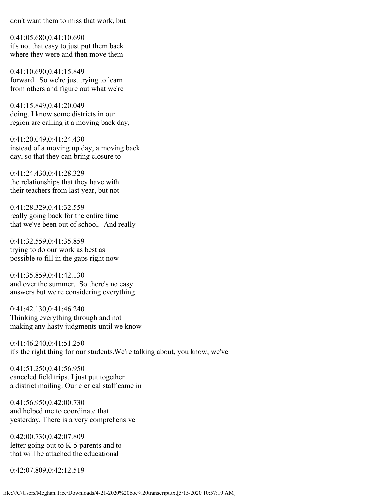don't want them to miss that work, but

0:41:05.680,0:41:10.690 it's not that easy to just put them back where they were and then move them

0:41:10.690,0:41:15.849 forward. So we're just trying to learn from others and figure out what we're

0:41:15.849,0:41:20.049 doing. I know some districts in our region are calling it a moving back day,

0:41:20.049,0:41:24.430 instead of a moving up day, a moving back day, so that they can bring closure to

0:41:24.430,0:41:28.329 the relationships that they have with their teachers from last year, but not

0:41:28.329,0:41:32.559 really going back for the entire time that we've been out of school. And really

0:41:32.559,0:41:35.859 trying to do our work as best as possible to fill in the gaps right now

0:41:35.859,0:41:42.130 and over the summer. So there's no easy answers but we're considering everything.

0:41:42.130,0:41:46.240 Thinking everything through and not making any hasty judgments until we know

0:41:46.240,0:41:51.250 it's the right thing for our students.We're talking about, you know, we've

0:41:51.250,0:41:56.950 canceled field trips. I just put together a district mailing. Our clerical staff came in

0:41:56.950,0:42:00.730 and helped me to coordinate that yesterday. There is a very comprehensive

0:42:00.730,0:42:07.809 letter going out to K-5 parents and to that will be attached the educational

0:42:07.809,0:42:12.519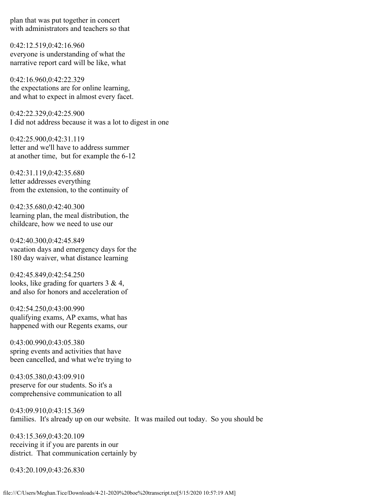plan that was put together in concert with administrators and teachers so that

0:42:12.519,0:42:16.960 everyone is understanding of what the narrative report card will be like, what

0:42:16.960,0:42:22.329 the expectations are for online learning, and what to expect in almost every facet.

0:42:22.329,0:42:25.900 I did not address because it was a lot to digest in one

0:42:25.900,0:42:31.119 letter and we'll have to address summer at another time, but for example the 6-12

0:42:31.119,0:42:35.680 letter addresses everything from the extension, to the continuity of

0:42:35.680,0:42:40.300 learning plan, the meal distribution, the childcare, how we need to use our

0:42:40.300,0:42:45.849 vacation days and emergency days for the 180 day waiver, what distance learning

0:42:45.849,0:42:54.250 looks, like grading for quarters 3 & 4, and also for honors and acceleration of

0:42:54.250,0:43:00.990 qualifying exams, AP exams, what has happened with our Regents exams, our

0:43:00.990,0:43:05.380 spring events and activities that have been cancelled, and what we're trying to

0:43:05.380,0:43:09.910 preserve for our students. So it's a comprehensive communication to all

0:43:09.910,0:43:15.369 families. It's already up on our website. It was mailed out today. So you should be

0:43:15.369,0:43:20.109 receiving it if you are parents in our district. That communication certainly by

0:43:20.109,0:43:26.830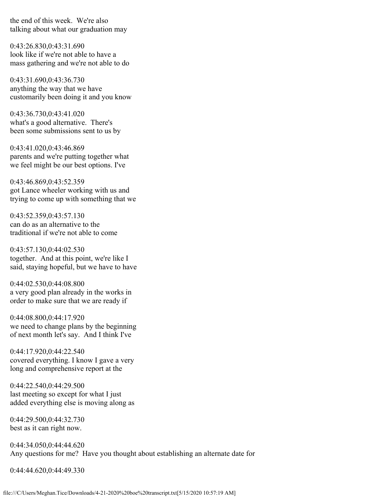the end of this week. We're also talking about what our graduation may

0:43:26.830,0:43:31.690 look like if we're not able to have a mass gathering and we're not able to do

0:43:31.690,0:43:36.730 anything the way that we have customarily been doing it and you know

0:43:36.730,0:43:41.020 what's a good alternative. There's been some submissions sent to us by

0:43:41.020,0:43:46.869 parents and we're putting together what we feel might be our best options. I've

0:43:46.869,0:43:52.359 got Lance wheeler working with us and trying to come up with something that we

0:43:52.359,0:43:57.130 can do as an alternative to the traditional if we're not able to come

0:43:57.130,0:44:02.530 together. And at this point, we're like I said, staying hopeful, but we have to have

0:44:02.530,0:44:08.800 a very good plan already in the works in order to make sure that we are ready if

0:44:08.800,0:44:17.920 we need to change plans by the beginning of next month let's say. And I think I've

0:44:17.920,0:44:22.540 covered everything. I know I gave a very long and comprehensive report at the

0:44:22.540,0:44:29.500 last meeting so except for what I just added everything else is moving along as

0:44:29.500,0:44:32.730 best as it can right now.

0:44:34.050,0:44:44.620 Any questions for me? Have you thought about establishing an alternate date for

0:44:44.620,0:44:49.330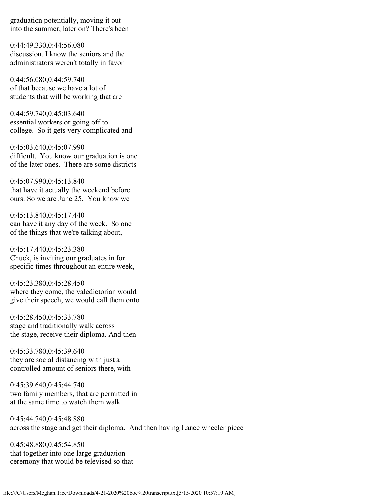graduation potentially, moving it out into the summer, later on? There's been

0:44:49.330,0:44:56.080 discussion. I know the seniors and the administrators weren't totally in favor

0:44:56.080,0:44:59.740 of that because we have a lot of students that will be working that are

0:44:59.740,0:45:03.640 essential workers or going off to college. So it gets very complicated and

0:45:03.640,0:45:07.990 difficult. You know our graduation is one of the later ones. There are some districts

0:45:07.990,0:45:13.840 that have it actually the weekend before ours. So we are June 25. You know we

0:45:13.840,0:45:17.440 can have it any day of the week. So one of the things that we're talking about,

0:45:17.440,0:45:23.380 Chuck, is inviting our graduates in for specific times throughout an entire week,

0:45:23.380,0:45:28.450 where they come, the valedictorian would give their speech, we would call them onto

0:45:28.450,0:45:33.780 stage and traditionally walk across the stage, receive their diploma. And then

0:45:33.780,0:45:39.640 they are social distancing with just a controlled amount of seniors there, with

0:45:39.640,0:45:44.740 two family members, that are permitted in at the same time to watch them walk

0:45:44.740,0:45:48.880 across the stage and get their diploma. And then having Lance wheeler piece

0:45:48.880,0:45:54.850 that together into one large graduation ceremony that would be televised so that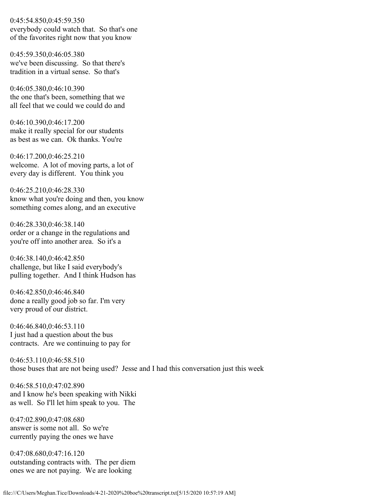0:45:54.850,0:45:59.350 everybody could watch that. So that's one of the favorites right now that you know

0:45:59.350,0:46:05.380 we've been discussing. So that there's tradition in a virtual sense. So that's

0:46:05.380,0:46:10.390 the one that's been, something that we all feel that we could we could do and

0:46:10.390,0:46:17.200 make it really special for our students as best as we can. Ok thanks. You're

0:46:17.200,0:46:25.210 welcome. A lot of moving parts, a lot of every day is different. You think you

0:46:25.210,0:46:28.330 know what you're doing and then, you know something comes along, and an executive

0:46:28.330,0:46:38.140 order or a change in the regulations and you're off into another area. So it's a

0:46:38.140,0:46:42.850 challenge, but like I said everybody's pulling together. And I think Hudson has

0:46:42.850,0:46:46.840 done a really good job so far. I'm very very proud of our district.

0:46:46.840,0:46:53.110 I just had a question about the bus contracts. Are we continuing to pay for

0:46:53.110,0:46:58.510 those buses that are not being used? Jesse and I had this conversation just this week

0:46:58.510,0:47:02.890 and I know he's been speaking with Nikki as well. So I'll let him speak to you. The

0:47:02.890,0:47:08.680 answer is some not all. So we're currently paying the ones we have

0:47:08.680,0:47:16.120 outstanding contracts with. The per diem ones we are not paying. We are looking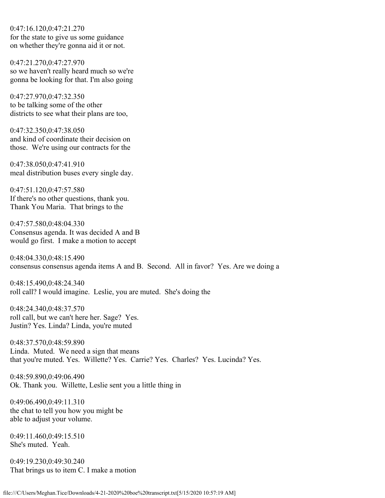0:47:16.120,0:47:21.270 for the state to give us some guidance on whether they're gonna aid it or not.

0:47:21.270,0:47:27.970 so we haven't really heard much so we're gonna be looking for that. I'm also going

0:47:27.970,0:47:32.350 to be talking some of the other districts to see what their plans are too,

0:47:32.350,0:47:38.050 and kind of coordinate their decision on those. We're using our contracts for the

0:47:38.050,0:47:41.910 meal distribution buses every single day.

0:47:51.120,0:47:57.580 If there's no other questions, thank you. Thank You Maria. That brings to the

0:47:57.580,0:48:04.330 Consensus agenda. It was decided A and B would go first. I make a motion to accept

0:48:04.330,0:48:15.490 consensus consensus agenda items A and B. Second. All in favor? Yes. Are we doing a

0:48:15.490,0:48:24.340 roll call? I would imagine. Leslie, you are muted. She's doing the

0:48:24.340,0:48:37.570 roll call, but we can't here her. Sage? Yes. Justin? Yes. Linda? Linda, you're muted

0:48:37.570,0:48:59.890 Linda. Muted. We need a sign that means that you're muted. Yes. Willette? Yes. Carrie? Yes. Charles? Yes. Lucinda? Yes.

0:48:59.890,0:49:06.490 Ok. Thank you. Willette, Leslie sent you a little thing in

0:49:06.490,0:49:11.310 the chat to tell you how you might be able to adjust your volume.

0:49:11.460,0:49:15.510 She's muted. Yeah.

0:49:19.230,0:49:30.240 That brings us to item C. I make a motion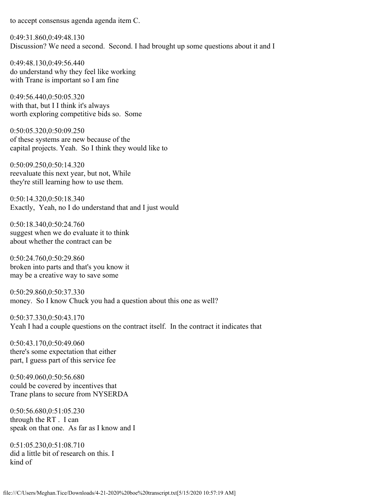to accept consensus agenda agenda item C.

0:49:31.860,0:49:48.130 Discussion? We need a second. Second. I had brought up some questions about it and I

0:49:48.130,0:49:56.440 do understand why they feel like working with Trane is important so I am fine

0:49:56.440,0:50:05.320 with that, but I I think it's always worth exploring competitive bids so. Some

0:50:05.320,0:50:09.250 of these systems are new because of the capital projects. Yeah. So I think they would like to

0:50:09.250,0:50:14.320 reevaluate this next year, but not, While they're still learning how to use them.

0:50:14.320,0:50:18.340 Exactly, Yeah, no I do understand that and I just would

0:50:18.340,0:50:24.760 suggest when we do evaluate it to think about whether the contract can be

0:50:24.760,0:50:29.860 broken into parts and that's you know it may be a creative way to save some

0:50:29.860,0:50:37.330 money. So I know Chuck you had a question about this one as well?

0:50:37.330,0:50:43.170 Yeah I had a couple questions on the contract itself. In the contract it indicates that

0:50:43.170,0:50:49.060 there's some expectation that either part, I guess part of this service fee

0:50:49.060,0:50:56.680 could be covered by incentives that Trane plans to secure from NYSERDA

0:50:56.680,0:51:05.230 through the RT . I can speak on that one. As far as I know and I

0:51:05.230,0:51:08.710 did a little bit of research on this. I kind of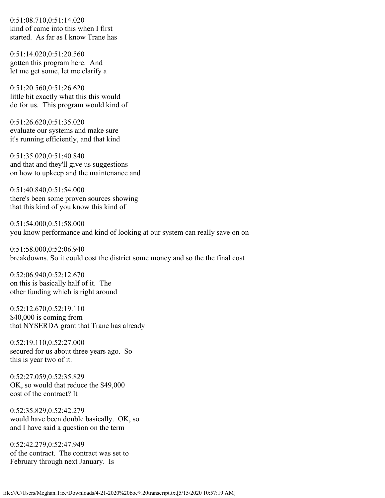0:51:08.710,0:51:14.020 kind of came into this when I first started. As far as I know Trane has

0:51:14.020,0:51:20.560 gotten this program here. And let me get some, let me clarify a

0:51:20.560,0:51:26.620 little bit exactly what this this would do for us. This program would kind of

0:51:26.620,0:51:35.020 evaluate our systems and make sure it's running efficiently, and that kind

0:51:35.020,0:51:40.840 and that and they'll give us suggestions on how to upkeep and the maintenance and

0:51:40.840,0:51:54.000 there's been some proven sources showing that this kind of you know this kind of

0:51:54.000,0:51:58.000 you know performance and kind of looking at our system can really save on on

0:51:58.000,0:52:06.940 breakdowns. So it could cost the district some money and so the the final cost

0:52:06.940,0:52:12.670 on this is basically half of it. The other funding which is right around

0:52:12.670,0:52:19.110 \$40,000 is coming from that NYSERDA grant that Trane has already

0:52:19.110,0:52:27.000 secured for us about three years ago. So this is year two of it.

0:52:27.059,0:52:35.829 OK, so would that reduce the \$49,000 cost of the contract? It

0:52:35.829,0:52:42.279 would have been double basically. OK, so and I have said a question on the term

0:52:42.279,0:52:47.949 of the contract. The contract was set to February through next January. Is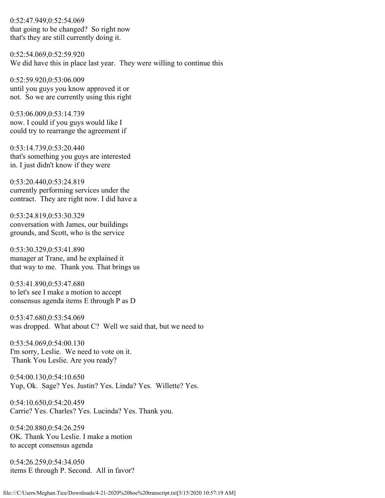0:52:47.949,0:52:54.069 that going to be changed? So right now that's they are still currently doing it.

0:52:54.069,0:52:59.920 We did have this in place last year. They were willing to continue this

0:52:59.920,0:53:06.009 until you guys you know approved it or not. So we are currently using this right

0:53:06.009,0:53:14.739 now. I could if you guys would like I could try to rearrange the agreement if

0:53:14.739,0:53:20.440 that's something you guys are interested in. I just didn't know if they were

0:53:20.440,0:53:24.819 currently performing services under the contract. They are right now. I did have a

0:53:24.819,0:53:30.329 conversation with James, our buildings grounds, and Scott, who is the service

0:53:30.329,0:53:41.890 manager at Trane, and he explained it that way to me. Thank you. That brings us

0:53:41.890,0:53:47.680 to let's see I make a motion to accept consensus agenda items E through P as D

0:53:47.680,0:53:54.069 was dropped. What about C? Well we said that, but we need to

0:53:54.069,0:54:00.130 I'm sorry, Leslie. We need to vote on it. Thank You Leslie. Are you ready?

0:54:00.130,0:54:10.650 Yup, Ok. Sage? Yes. Justin? Yes. Linda? Yes. Willette? Yes.

0:54:10.650,0:54:20.459 Carrie? Yes. Charles? Yes. Lucinda? Yes. Thank you.

0:54:20.880,0:54:26.259 OK. Thank You Leslie. I make a motion to accept consensus agenda

0:54:26.259,0:54:34.050 items E through P. Second. All in favor?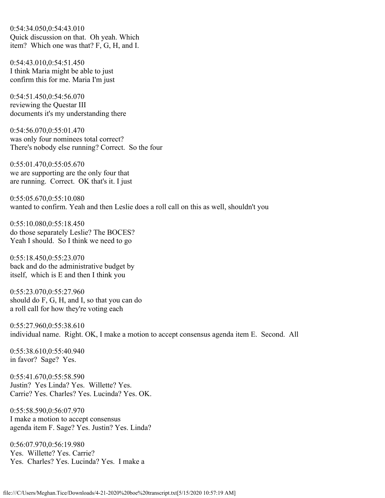0:54:34.050,0:54:43.010 Quick discussion on that. Oh yeah. Which item? Which one was that? F, G, H, and I.

0:54:43.010,0:54:51.450 I think Maria might be able to just confirm this for me. Maria I'm just

0:54:51.450,0:54:56.070 reviewing the Questar III documents it's my understanding there

0:54:56.070,0:55:01.470 was only four nominees total correct? There's nobody else running? Correct. So the four

0:55:01.470,0:55:05.670 we are supporting are the only four that are running. Correct. OK that's it. I just

0:55:05.670,0:55:10.080 wanted to confirm. Yeah and then Leslie does a roll call on this as well, shouldn't you

0:55:10.080,0:55:18.450 do those separately Leslie? The BOCES? Yeah I should. So I think we need to go

0:55:18.450,0:55:23.070 back and do the administrative budget by itself, which is E and then I think you

0:55:23.070,0:55:27.960 should do F, G, H, and I, so that you can do a roll call for how they're voting each

0:55:27.960,0:55:38.610 individual name. Right. OK, I make a motion to accept consensus agenda item E. Second. All

0:55:38.610,0:55:40.940 in favor? Sage? Yes.

0:55:41.670,0:55:58.590 Justin? Yes Linda? Yes. Willette? Yes. Carrie? Yes. Charles? Yes. Lucinda? Yes. OK.

0:55:58.590,0:56:07.970 I make a motion to accept consensus agenda item F. Sage? Yes. Justin? Yes. Linda?

0:56:07.970,0:56:19.980 Yes. Willette? Yes. Carrie? Yes. Charles? Yes. Lucinda? Yes. I make a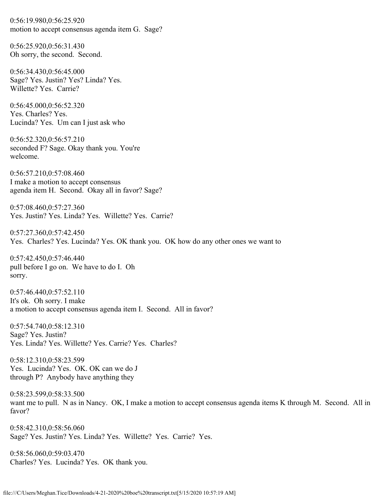0:56:19.980,0:56:25.920 motion to accept consensus agenda item G. Sage?

0:56:25.920,0:56:31.430 Oh sorry, the second. Second.

0:56:34.430,0:56:45.000 Sage? Yes. Justin? Yes? Linda? Yes. Willette? Yes. Carrie?

0:56:45.000,0:56:52.320 Yes. Charles? Yes. Lucinda? Yes. Um can I just ask who

0:56:52.320,0:56:57.210 seconded F? Sage. Okay thank you. You're welcome.

0:56:57.210,0:57:08.460 I make a motion to accept consensus agenda item H. Second. Okay all in favor? Sage?

0:57:08.460,0:57:27.360 Yes. Justin? Yes. Linda? Yes. Willette? Yes. Carrie?

0:57:27.360,0:57:42.450 Yes. Charles? Yes. Lucinda? Yes. OK thank you. OK how do any other ones we want to

0:57:42.450,0:57:46.440 pull before I go on. We have to do I. Oh sorry.

0:57:46.440,0:57:52.110 It's ok. Oh sorry. I make a motion to accept consensus agenda item I. Second. All in favor?

0:57:54.740,0:58:12.310 Sage? Yes. Justin? Yes. Linda? Yes. Willette? Yes. Carrie? Yes. Charles?

0:58:12.310,0:58:23.599 Yes. Lucinda? Yes. OK. OK can we do J through P? Anybody have anything they

0:58:23.599,0:58:33.500 want me to pull. N as in Nancy. OK, I make a motion to accept consensus agenda items K through M. Second. All in favor?

0:58:42.310,0:58:56.060 Sage? Yes. Justin? Yes. Linda? Yes. Willette? Yes. Carrie? Yes.

0:58:56.060,0:59:03.470 Charles? Yes. Lucinda? Yes. OK thank you.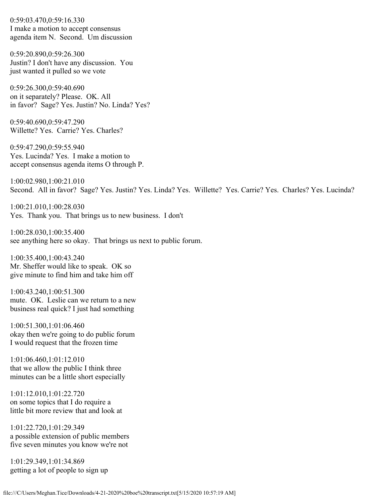0:59:03.470,0:59:16.330 I make a motion to accept consensus agenda item N. Second. Um discussion

0:59:20.890,0:59:26.300 Justin? I don't have any discussion. You just wanted it pulled so we vote

0:59:26.300,0:59:40.690 on it separately? Please. OK. All in favor? Sage? Yes. Justin? No. Linda? Yes?

0:59:40.690,0:59:47.290 Willette? Yes. Carrie? Yes. Charles?

0:59:47.290,0:59:55.940 Yes. Lucinda? Yes. I make a motion to accept consensus agenda items O through P.

1:00:02.980,1:00:21.010 Second. All in favor? Sage? Yes. Justin? Yes. Linda? Yes. Willette? Yes. Carrie? Yes. Charles? Yes. Lucinda?

1:00:21.010,1:00:28.030 Yes. Thank you. That brings us to new business. I don't

1:00:28.030,1:00:35.400 see anything here so okay. That brings us next to public forum.

1:00:35.400,1:00:43.240 Mr. Sheffer would like to speak. OK so give minute to find him and take him off

1:00:43.240,1:00:51.300 mute. OK. Leslie can we return to a new business real quick? I just had something

1:00:51.300,1:01:06.460 okay then we're going to do public forum I would request that the frozen time

1:01:06.460,1:01:12.010 that we allow the public I think three minutes can be a little short especially

1:01:12.010,1:01:22.720 on some topics that I do require a little bit more review that and look at

1:01:22.720,1:01:29.349 a possible extension of public members five seven minutes you know we're not

1:01:29.349,1:01:34.869 getting a lot of people to sign up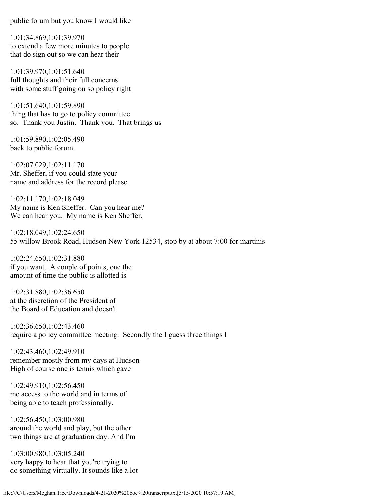public forum but you know I would like

1:01:34.869,1:01:39.970 to extend a few more minutes to people that do sign out so we can hear their

1:01:39.970,1:01:51.640 full thoughts and their full concerns with some stuff going on so policy right

1:01:51.640,1:01:59.890 thing that has to go to policy committee so. Thank you Justin. Thank you. That brings us

1:01:59.890,1:02:05.490 back to public forum.

1:02:07.029,1:02:11.170 Mr. Sheffer, if you could state your name and address for the record please.

1:02:11.170,1:02:18.049 My name is Ken Sheffer. Can you hear me? We can hear you. My name is Ken Sheffer,

1:02:18.049,1:02:24.650 55 willow Brook Road, Hudson New York 12534, stop by at about 7:00 for martinis

1:02:24.650,1:02:31.880 if you want. A couple of points, one the amount of time the public is allotted is

1:02:31.880,1:02:36.650 at the discretion of the President of the Board of Education and doesn't

1:02:36.650,1:02:43.460 require a policy committee meeting. Secondly the I guess three things I

1:02:43.460,1:02:49.910 remember mostly from my days at Hudson High of course one is tennis which gave

1:02:49.910,1:02:56.450 me access to the world and in terms of being able to teach professionally.

1:02:56.450,1:03:00.980 around the world and play, but the other two things are at graduation day. And I'm

1:03:00.980,1:03:05.240 very happy to hear that you're trying to do something virtually. It sounds like a lot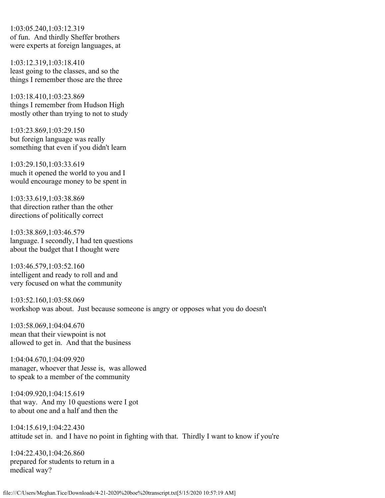1:03:05.240,1:03:12.319 of fun. And thirdly Sheffer brothers were experts at foreign languages, at

1:03:12.319,1:03:18.410 least going to the classes, and so the things I remember those are the three

1:03:18.410,1:03:23.869 things I remember from Hudson High mostly other than trying to not to study

1:03:23.869,1:03:29.150 but foreign language was really something that even if you didn't learn

1:03:29.150,1:03:33.619 much it opened the world to you and I would encourage money to be spent in

1:03:33.619,1:03:38.869 that direction rather than the other directions of politically correct

1:03:38.869,1:03:46.579 language. I secondly, I had ten questions about the budget that I thought were

1:03:46.579,1:03:52.160 intelligent and ready to roll and and very focused on what the community

1:03:52.160,1:03:58.069 workshop was about. Just because someone is angry or opposes what you do doesn't

1:03:58.069,1:04:04.670 mean that their viewpoint is not allowed to get in. And that the business

1:04:04.670,1:04:09.920 manager, whoever that Jesse is, was allowed to speak to a member of the community

1:04:09.920,1:04:15.619 that way. And my 10 questions were I got to about one and a half and then the

1:04:15.619,1:04:22.430 attitude set in. and I have no point in fighting with that. Thirdly I want to know if you're

1:04:22.430,1:04:26.860 prepared for students to return in a medical way?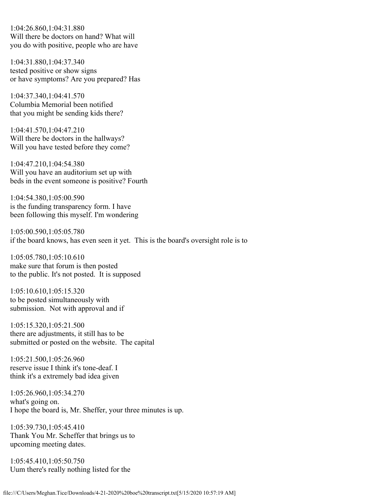1:04:26.860,1:04:31.880 Will there be doctors on hand? What will you do with positive, people who are have

1:04:31.880,1:04:37.340 tested positive or show signs or have symptoms? Are you prepared? Has

1:04:37.340,1:04:41.570 Columbia Memorial been notified that you might be sending kids there?

1:04:41.570,1:04:47.210 Will there be doctors in the hallways? Will you have tested before they come?

1:04:47.210,1:04:54.380 Will you have an auditorium set up with beds in the event someone is positive? Fourth

1:04:54.380,1:05:00.590 is the funding transparency form. I have been following this myself. I'm wondering

1:05:00.590,1:05:05.780 if the board knows, has even seen it yet. This is the board's oversight role is to

1:05:05.780,1:05:10.610 make sure that forum is then posted to the public. It's not posted. It is supposed

1:05:10.610,1:05:15.320 to be posted simultaneously with submission. Not with approval and if

1:05:15.320,1:05:21.500 there are adjustments, it still has to be submitted or posted on the website. The capital

1:05:21.500,1:05:26.960 reserve issue I think it's tone-deaf. I think it's a extremely bad idea given

1:05:26.960,1:05:34.270 what's going on. I hope the board is, Mr. Sheffer, your three minutes is up.

1:05:39.730,1:05:45.410 Thank You Mr. Scheffer that brings us to upcoming meeting dates.

1:05:45.410,1:05:50.750 Uum there's really nothing listed for the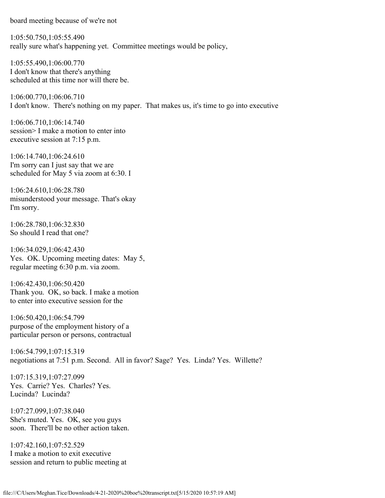board meeting because of we're not

1:05:50.750,1:05:55.490 really sure what's happening yet. Committee meetings would be policy,

1:05:55.490,1:06:00.770 I don't know that there's anything scheduled at this time nor will there be.

1:06:00.770,1:06:06.710 I don't know. There's nothing on my paper. That makes us, it's time to go into executive

1:06:06.710,1:06:14.740 session> I make a motion to enter into executive session at 7:15 p.m.

1:06:14.740,1:06:24.610 I'm sorry can I just say that we are scheduled for May 5 via zoom at 6:30. I

1:06:24.610,1:06:28.780 misunderstood your message. That's okay I'm sorry.

1:06:28.780,1:06:32.830 So should I read that one?

1:06:34.029,1:06:42.430 Yes. OK. Upcoming meeting dates: May 5, regular meeting 6:30 p.m. via zoom.

1:06:42.430,1:06:50.420 Thank you. OK, so back. I make a motion to enter into executive session for the

1:06:50.420,1:06:54.799 purpose of the employment history of a particular person or persons, contractual

1:06:54.799,1:07:15.319 negotiations at 7:51 p.m. Second. All in favor? Sage? Yes. Linda? Yes. Willette?

1:07:15.319,1:07:27.099 Yes. Carrie? Yes. Charles? Yes. Lucinda? Lucinda?

1:07:27.099,1:07:38.040 She's muted. Yes. OK, see you guys soon. There'll be no other action taken.

1:07:42.160,1:07:52.529 I make a motion to exit executive session and return to public meeting at